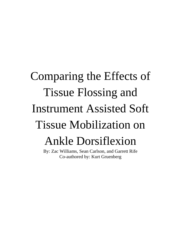# Comparing the Effects of Tissue Flossing and Instrument Assisted Soft Tissue Mobilization on Ankle Dorsiflexion

By: Zac Williams, Sean Carlson, and Garrett Rife Co-authored by: Kurt Gruenberg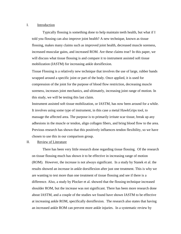# I. Introduction

Typically flossing is something done to help maintain teeth health, but what if I told you flossing can also improve joint health? A new technique, known as tissue flossing, makes many claims such as improved joint health, decreased muscle soreness, increased muscular gains, and increased ROM. Are these claims true? In this paper, we will discuss what tissue flossing is and compare it to instrument assisted soft tissue mobilization (IASTM) for increasing ankle dorsiflexion.

Tissue Flossing is a relatively new technique that involves the use of large, rubber bands wrapped around a specific joint or part of the body. Once applied, it is used for compression of the joint for the purpose of blood flow restriction, decreasing muscle soreness, increases joint mechanics, and ultimately, increasing joint range of motion. In this study, we will be testing this last claim.

Instrument assisted soft tissue mobilization, or IASTM, has now been around for a while. It involves using some type of instrument, in this case a metal HawkGrips tool, to massage the affected area. The purpose is to primarily irritate scar tissue, break up any adhesions in the muscle or tendon, align collagen fibers, and bring blood flow to the area. Previous research has shown that this positively influences tendon flexibility, so we have chosen to use this in our comparison group.

## II. Review of Literature

There has been very little research done regarding tissue flossing. Of the research on tissue flossing much has shown it to be effective in increasing range of motion (ROM). However, the increase is not always significant. In a study by Stanek et al. the results showed an increase in ankle dorsiflexion after just one treatment. This is why we are wanting to test more than one treatment of tissue flossing and see if there is a difference. Also, a study by Plocker et al. showed that the flossing technique increased shoulder ROM, but the increase was not significant. There has been more research done about IASTM, and a couple of the studies we found have shown IASTM to be effective at increasing ankle ROM, specifically dorsiflexion. The research also states that having an increased ankle ROM can prevent more ankle injuries. In a systematic review by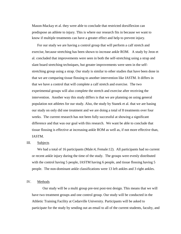Mason-Mackay et al. they were able to conclude that restricted dorsiflexion can predispose an athlete to injury. This is where our research fits in because we want to know if multiple treatments can have a greater effect and help to prevent injury.

For our study we are having a control group that will perform a calf stretch and exercise, because stretching has been shown to increase ankle ROM. A study by Jeon et al. concluded that improvements were seen in both the self-stretching using a strap and slant board stretching techniques, but greater improvements were seen in the selfstretching group using a strap. Our study is similar to other studies that have been done in that we are comparing tissue flossing to another intervention like IASTM. It differs in that we have a control that will complete a calf stretch and exercise. The two experimental groups will also complete the stretch and exercise after receiving the intervention. Another way this study differs is that we are planning on using general population not athletes for our study. Also, the study by Stanek et al. that we are basing our study on only did one treatment and we are doing a total of 8 treatments over four weeks. The current research has not been fully successful at showing a significant difference and that was our goal with this research. We want be able to conclude that tissue flossing is effective at increasing ankle ROM as well as, if not more effective than, IASTM.

### III. Subjects

We had a total of 16 participants (Male:4, Female:12). All participants had no current or recent ankle injury during the time of the study. The groups were evenly distributed with the control having 5 people, IASTM having 6 people, and tissue flossing having 5 people. The non-dominant ankle classifications were 13 left ankles and 3 right ankles.

### IV. Methods

Our study will be a multi group pre-test post-test design. This means that we will have two treatment groups and one control group. Our study will be conducted in the Athletic Training Facility at Cedarville University. Participants will be asked to participate for the study by sending out an email to all of the current students, faculty, and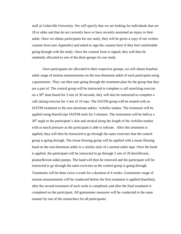staff at Cedarville University. We will specify that we are looking for individuals that are 18 or older and that do not currently have or have recently sustained an injury to their ankle. Once we obtain participants for our study, they will be given a copy of our written consent form (see Appendix) and asked to sign the consent form if they feel comfortable going through with the study. Once the consent form is signed, they will then be randomly allocated to one of the three groups for our study.

Once participants are allocated to their respective groups, we will obtain baseline ankle range of motion measurements on the non-dominant ankle of each participant using a goniometer. They can then start going through the treatment plan for the group that they are a part of. The control group will be instructed to complete a calf stretching exercise on a  $30<sup>o</sup>$  slant board for 3 sets of 30 seconds, they will also be instructed to complete a calf raising exercise for 3 sets of 10 reps. The IASTM group will be treated with an IASTM treatment to the non-dominant ankles' Achilles tendon. The treatment will be applied using HawkGrips IASTM tools for 5 minutes. The instrument will be held at a  $30<sup>0</sup>$  angle to the participant's skin and stroked along the length of the Achilles tendon with as much pressure as the participant is able to tolerate. After this treatment is applied, they will then be instructed to go through the same exercises that the control group is going through. The tissue flossing group will be applied with a tissue flossing band on the non-dominant ankle in a similar style of a normal ankle tape. Once the band is applied, the participant will be instructed to go through 2 sets of 20 dorsiflexion, plantarflexion ankle pumps. The band will then be removed and the participant will be instructed to go through the same exercises as the control group is going through.

Treatments will be done twice a week for a duration of 4 weeks. Goniometer range of motion measurements will be conducted before the first treatment is applied (baseline), after the second treatment of each week is completed, and after the final treatment is completed on the participant. All goniometer measures will be conducted in the same manner by one of the researchers for all participants.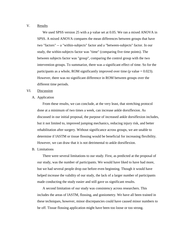### V. Results

We used SPSS version 25 with a p value set at 0.05. We ran a mixed ANOVA in SPSS. A mixed ANOVA compares the mean differences between groups that have two "factors" -- a "within-subjects" factor and a "between-subjects" factor. In our study, the within-subjects factor was "time" (comparing five time points). The between subjects factor was "group", comparing the control group with the two intervention groups. To summarize, there was a significant effect of time. So for the participants as a whole, ROM significantly improved over time (p value  $= 0.023$ ). However, there was no significant difference in ROM between groups over the different time periods.

### VI. Discussion

A. Application

From these results, we can conclude, at the very least, that stretching protocol done at a minimum of two times a week, can increase ankle dorsiflexion. As discussed in our initial proposal, the purpose of increased ankle dorsiflexion includes, but it not limited to, improved jumping mechanics, reducing injury risk, and better rehabilitation after surgery. Without significance across groups, we are unable to determine if IASTM or tissue flossing would be beneficial for increasing flexibility. However, we can draw that it is not detrimental to ankle dorsiflexion.

B. Limitations

There were several limitations to our study. First, as predicted at the proposal of our study, was the number of participants. We would have liked to have had more, but we had several people drop out before even beginning. Though it would have helped increase the validity of our study, the lack of a larger number of participants made conducting the study easier and still gave us significant results.

A second limitation of our study was consistency across researchers. This includes the areas of IASTM, flossing, and goniometry. We have all been trained in these techniques, however, minor discrepancies could have caused minor numbers to be off. Tissue flossing application might have been too loose or too strong.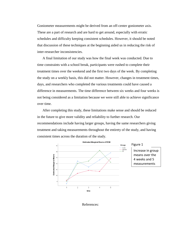Goniometer measurements might be derived from an off-center goniometer axis. These are a part of research and are hard to get around, especially with erratic schedules and difficulty keeping consistent schedules. However, it should be noted that discussion of these techniques at the beginning aided us in reducing the risk of inter-researcher inconsistencies.

A final limitation of our study was how the final week was conducted. Due to time constraints with a school break, participants were rushed to complete their treatment times over the weekend and the first two days of the week. By completing the study on a weekly basis, this did not matter. However, changes in treatment times, days, and researchers who completed the various treatments could have caused a difference in measurements. The time difference between six weeks and four weeks is not being considered as a limitation because we were still able to achieve significance over time.

After completing this study, these limitations make sense and should be reduced in the future to give more validity and reliability to further research. Our recommendations include having larger groups, having the same researchers giving treatment and taking measurements throughout the entirety of the study, and having consistent times across the duration of the study.



References: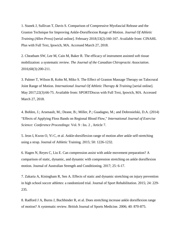1. Stanek J, Sullivan T, Davis S. Comparison of Compressive Myofascial Release and the Graston Technique for Improving Ankle-Dorsiflexion Range of Motion. *Journal Of Athletic Training (Allen Press)* [serial online]. February 2018;53(2):160-167. Available from: CINAHL Plus with Full Text, Ipswich, MA. Accessed March 27, 2018.

2. Cheatham SW, Lee M, Cain M, Baker R. The efficacy of instrument assisted soft tissue mobilization: a systematic review. *The Journal of the Canadian Chiropractic Association*. 2016;60(3):200-211.

3. Palmer T, Wilson B, Kohn M, Miko S. The Effect of Graston Massage Therapy on Talocrural Joint Range of Motion. *International Journal Of Athletic Therapy & Training* [serial online]. May 2017;22(3):66-75. Available from: SPORTDiscus with Full Text, Ipswich, MA. Accessed March 27, 2018.

4. Bohlen, J.; Arsenault, M.; Deane, B.; Miller, P.; Guadagno, M.; and Dobrosielski, D.A. (2014) "Effects of Applying Floss Bands on Regional Blood Flow," *International Journal of Exercise Science: Conference Proceedings*: Vol. 9 : Iss. 2 , Article 7.

5. Jeon I, Kwon O, Yi C, et al. Ankle-dorsiflexion range of motion after ankle self-stretching using a strap. Journal of Athletic Training. 2015; 50: 1226-1232.

6. Hagen N, Reyes C, Liu E. Can compression assist with ankle movement preparation? A comparison of static, dynamic, and dynamic with compression stretching on ankle dorsiflexion motion. Journal of Australian Strength and Conditioning. 2017; 25: 6-17.

7. Zakaria A, Kiningham R, Sen A. Effects of static and dynamic stretching on injury prevention in high school soccer athletes: a randomized trial. Journal of Sport Rehabilitation. 2015; 24: 229- 235.

8. Radford J A, Burns J, Buchbinder R, et al. Does stretching increase ankle dorsiflexion range of motion? A systematic review. British Journal of Sports Medicine. 2006; 40: 870-875.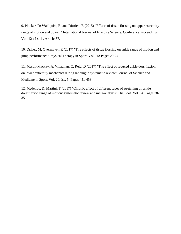9. Plocker, D; Wahlquist, B; and Dittrich, B (2015) "Effects of tissue flossing on upper extremity range of motion and power," International Journal of Exercise Science: Conference Proceedings: Vol. 12 : Iss. 1 , Article 37.

10. Driller, M; Overmayer, R (2017) "The effects of tissue flossing on ankle range of motion and jump performance" Physical Therapy in Sport. Vol. 25: Pages 20-24

11. Mason-Mackay, A; Whatman, C; Reid, D (2017) "The effect of reduced ankle dorsiflexion on lower extremity mechanics during landing: a systematic review" Journal of Science and Medicine in Sport. Vol. 20: Iss. 5: Pages 451-458

12. Medeiros, D; Martini, T (2017) "Chronic effect of different types of stretching on ankle dorsiflexion range of motion: systematic review and meta-analysis" The Foot. Vol. 34: Pages 28- 35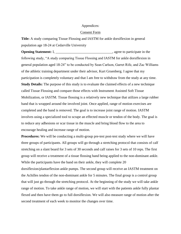### Appendices:

### Consent Form

**Title:** A study comparing Tissue Flossing and IASTM for ankle dorsiflexion in general population age 18-24 at Cedarville University

**Opening Statement:** I, \_\_\_\_\_\_\_\_\_\_\_\_\_\_\_\_\_\_\_\_\_\_\_\_\_\_\_\_\_\_\_\_, agree to participate in the following study, "A study comparing Tissue Flossing and IASTM for ankle dorsiflexion in general population aged 18-24" to be conducted by Sean Carlson, Garret Rife, and Zac Williams of the athletic training department under their advisor, Kurt Gruenberg. I agree that my participation is completely voluntary and that I am free to withdraw from the study at any time. **Study Details:** The purpose of this study is to evaluate the claimed effects of a new technique called Tissue Flossing and compare those effects with Instrument Assisted Soft Tissue Mobilization, or IASTM. Tissue flossing is a relatively new technique that utilizes a large rubber band that is wrapped around the involved joint. Once applied, range of motion exercises are completed and the band is removed. The goal is to increase joint range of motion. IASTM involves using a specialized tool to scrape an effected muscle or tendon of the body. The goal is to reduce any adhesions or scar tissue in the muscle and bring blood flow to the area to encourage healing and increase range of motion.

**Procedures:** We will be conducting a multi-group pre-test post-test study where we will have three groups of participants. All groups will go through a stretching protocol that consists of calf stretching on a slant board for 3 sets of 30 seconds and calf raises for 3 sets of 10 reps. The first group will receive a treatment of a tissue flossing band being applied to the non-dominant ankle. While the participants have the band on their ankle, they will complete 20 dorsiflexion/plantarflexion ankle pumps. The second group will receive an IASTM treatment on the Achilles tendon of the non-dominant ankle for 5 minutes. The final group is a control group that will just go through the stretching protocol. At the beginning of the study we will take ankle range of motion. To take ankle range of motion, we will start with the patients ankle fully plantar flexed and then have them go to full dorsiflexion. We will also measure range of motion after the second treatment of each week to monitor the changes over time.